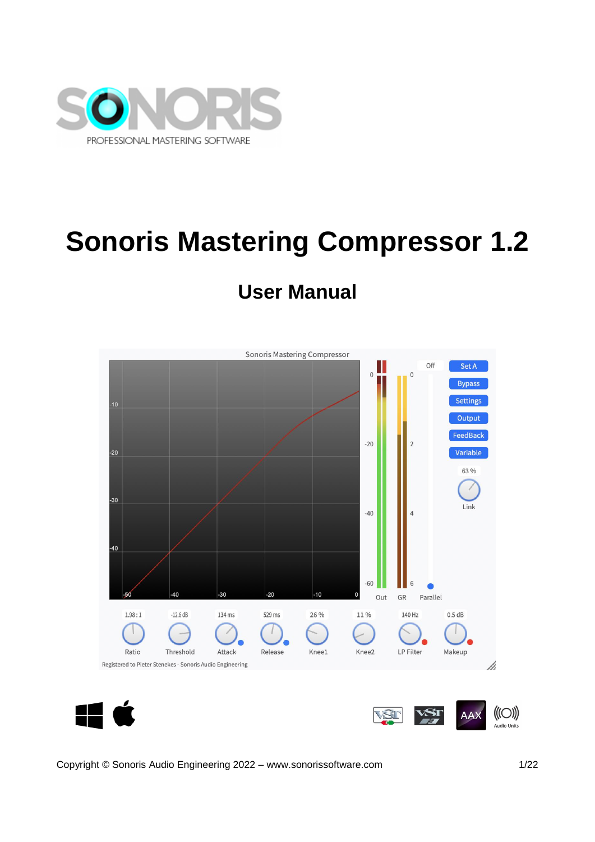

# **Sonoris Mastering Compressor 1.2**

## **User Manual**



<span id="page-0-0"></span>Copyright © Sonoris Audio Engineering 2022 – www.sonorissoftware.com 1/22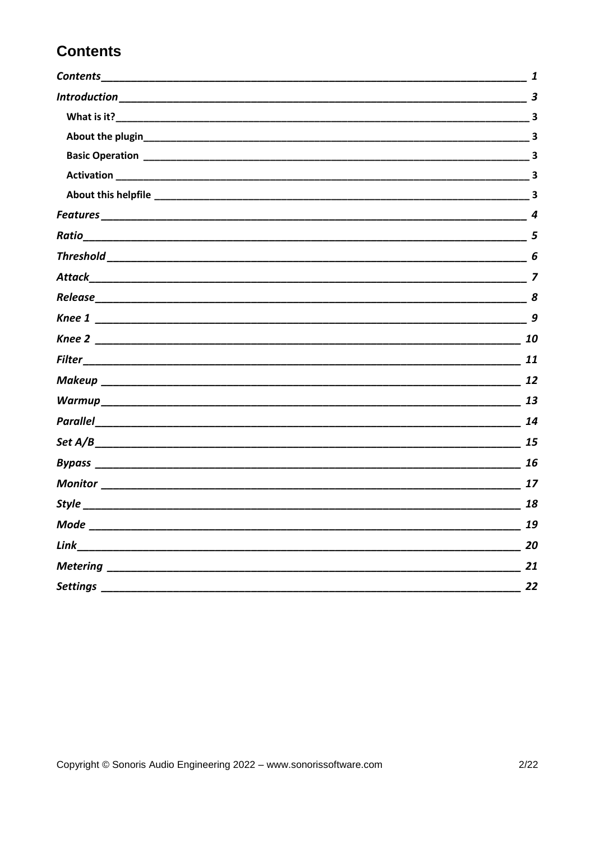### **Contents**

| Contents_________________________                                                                                                                                                                                             | 1  |
|-------------------------------------------------------------------------------------------------------------------------------------------------------------------------------------------------------------------------------|----|
|                                                                                                                                                                                                                               | 3  |
|                                                                                                                                                                                                                               | 3  |
|                                                                                                                                                                                                                               |    |
|                                                                                                                                                                                                                               |    |
|                                                                                                                                                                                                                               |    |
|                                                                                                                                                                                                                               |    |
|                                                                                                                                                                                                                               | 4  |
| Ratio                                                                                                                                                                                                                         | 5  |
|                                                                                                                                                                                                                               | 6  |
|                                                                                                                                                                                                                               |    |
|                                                                                                                                                                                                                               |    |
|                                                                                                                                                                                                                               | 9  |
|                                                                                                                                                                                                                               | 10 |
|                                                                                                                                                                                                                               |    |
|                                                                                                                                                                                                                               | 12 |
|                                                                                                                                                                                                                               | 13 |
|                                                                                                                                                                                                                               | 14 |
| Set $A/B$ 2 and 25 and 26 and 26 and 26 and 26 and 26 and 26 and 26 and 26 and 26 and 26 and 26 and 26 and 26 and 26 and 26 and 26 and 26 and 26 and 26 and 26 and 26 and 26 and 26 and 26 and 26 and 26 and 26 and 26 and 26 |    |
|                                                                                                                                                                                                                               | 16 |
|                                                                                                                                                                                                                               | 17 |
|                                                                                                                                                                                                                               | 18 |
| Mode                                                                                                                                                                                                                          | 19 |
| Link                                                                                                                                                                                                                          | 20 |
|                                                                                                                                                                                                                               | 21 |
| Settings _                                                                                                                                                                                                                    | 22 |
|                                                                                                                                                                                                                               |    |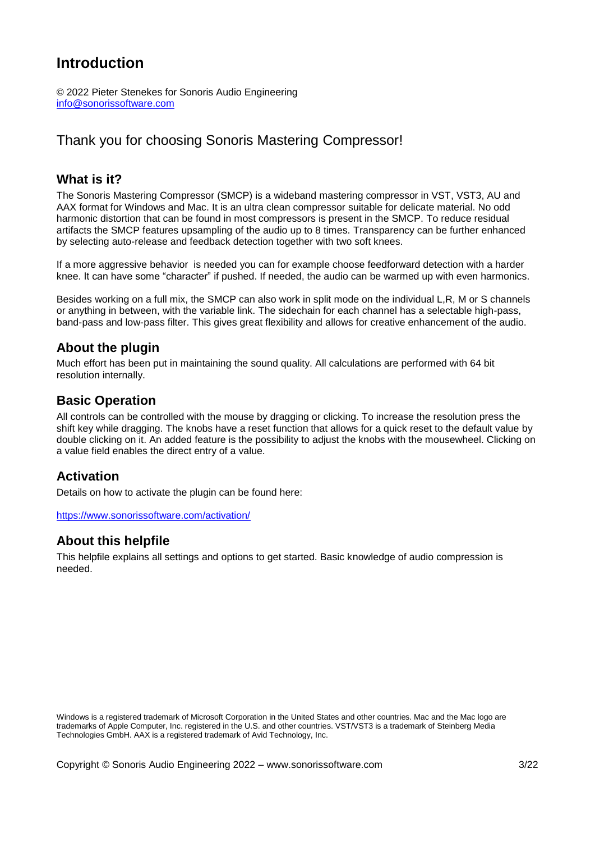#### <span id="page-2-0"></span>**Introduction**

© 2022 Pieter Stenekes for Sonoris Audio Engineering [info@sonorissoftware.com](mailto:info@sonorissoftware.com)

#### Thank you for choosing Sonoris Mastering Compressor!

#### <span id="page-2-1"></span>**What is it?**

The Sonoris Mastering Compressor (SMCP) is a wideband mastering compressor in VST, VST3, AU and AAX format for Windows and Mac. It is an ultra clean compressor suitable for delicate material. No odd harmonic distortion that can be found in most compressors is present in the SMCP. To reduce residual artifacts the SMCP features upsampling of the audio up to 8 times. Transparency can be further enhanced by selecting auto-release and feedback detection together with two soft knees.

If a more aggressive behavior is needed you can for example choose feedforward detection with a harder knee. It can have some "character" if pushed. If needed, the audio can be warmed up with even harmonics.

Besides working on a full mix, the SMCP can also work in split mode on the individual L,R, M or S channels or anything in between, with the variable link. The sidechain for each channel has a selectable high-pass, band-pass and low-pass filter. This gives great flexibility and allows for creative enhancement of the audio.

#### <span id="page-2-2"></span>**About the plugin**

Much effort has been put in maintaining the sound quality. All calculations are performed with 64 bit resolution internally.

#### <span id="page-2-3"></span>**Basic Operation**

All controls can be controlled with the mouse by dragging or clicking. To increase the resolution press the shift key while dragging. The knobs have a reset function that allows for a quick reset to the default value by double clicking on it. An added feature is the possibility to adjust the knobs with the mousewheel. Clicking on a value field enables the direct entry of a value.

#### <span id="page-2-4"></span>**Activation**

Details on how to activate the plugin can be found here:

<span id="page-2-5"></span><https://www.sonorissoftware.com/activation/>

#### **About this helpfile**

This helpfile explains all settings and options to get started. Basic knowledge of audio compression is needed.

Windows is a registered trademark of Microsoft Corporation in the United States and other countries. Mac and the Mac logo are trademarks of Apple Computer, Inc. registered in the U.S. and other countries. VST/VST3 is a trademark of Steinberg Media Technologies GmbH. AAX is a registered trademark of Avid Technology, Inc.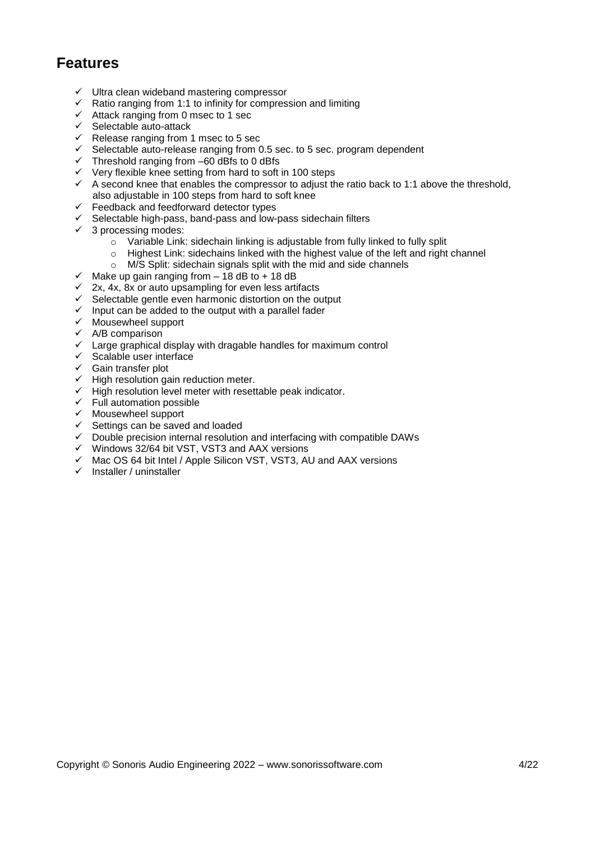#### <span id="page-3-0"></span>**Features**

- $\checkmark$  Ultra clean wideband mastering compressor
- $\checkmark$  Ratio ranging from 1:1 to infinity for compression and limiting
- $\checkmark$  Attack ranging from 0 msec to 1 sec
- $\checkmark$  Selectable auto-attack
- $\checkmark$  Release ranging from 1 msec to 5 sec
- $\checkmark$  Selectable auto-release ranging from 0.5 sec. to 5 sec. program dependent
- $\checkmark$  Threshold ranging from –60 dBfs to 0 dBfs
- $\checkmark$  Very flexible knee setting from hard to soft in 100 steps
- $\checkmark$  A second knee that enables the compressor to adjust the ratio back to 1:1 above the threshold, also adjustable in 100 steps from hard to soft knee
- $\checkmark$  Feedback and feedforward detector types
- $\checkmark$  Selectable high-pass, band-pass and low-pass sidechain filters
- $\checkmark$  3 processing modes:
	- o Variable Link: sidechain linking is adjustable from fully linked to fully split
	- $\circ$  Highest Link: sidechains linked with the highest value of the left and right channel
	- o M/S Split: sidechain signals split with the mid and side channels
- $\checkmark$  Make up gain ranging from  $-$  18 dB to + 18 dB
- $\checkmark$  2x, 4x, 8x or auto upsampling for even less artifacts
- $\checkmark$  Selectable gentle even harmonic distortion on the output
- $\checkmark$  Input can be added to the output with a parallel fader
- $\checkmark$  Mousewheel support
- $\checkmark$  A/B comparison
- $\checkmark$  Large graphical display with dragable handles for maximum control
- $\checkmark$  Scalable user interface
- $\checkmark$  Gain transfer plot
- $\checkmark$  High resolution gain reduction meter.
- $\checkmark$  High resolution level meter with resettable peak indicator.
- $\checkmark$  Full automation possible
- $\checkmark$  Mousewheel support
- $\checkmark$  Settings can be saved and loaded
- $\checkmark$  Double precision internal resolution and interfacing with compatible DAWs
- Windows 32/64 bit VST, VST3 and AAX versions
- $\checkmark$  Mac OS 64 bit Intel / Apple Silicon VST, VST3, AU and AAX versions
- $\checkmark$  Installer / uninstaller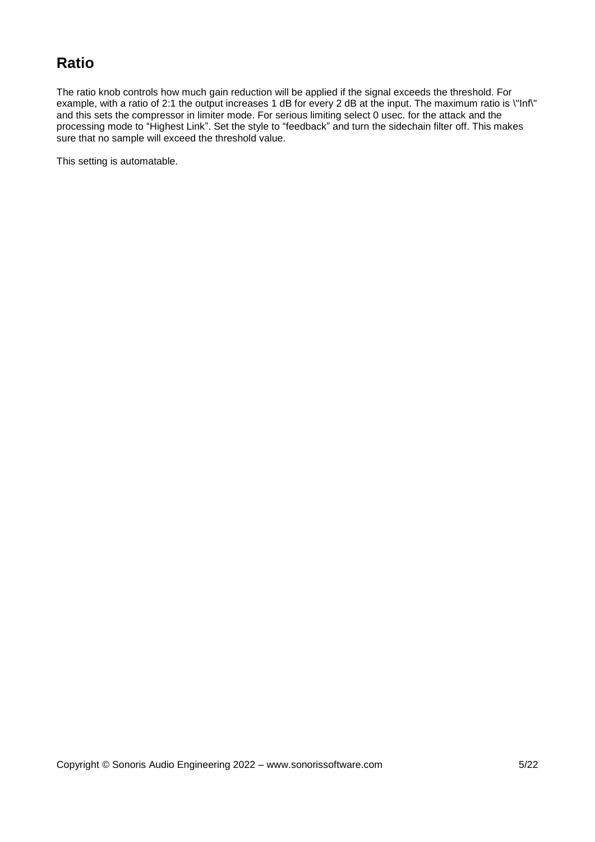#### <span id="page-4-0"></span>**Ratio**

The ratio knob controls how much gain reduction will be applied if the signal exceeds the threshold. For example, with a ratio of 2:1 the output increases 1 dB for every 2 dB at the input. The maximum ratio is \"Inf\" and this sets the compressor in limiter mode. For serious limiting select 0 usec. for the attack and the processing mode to "Highest Link". Set the style to "feedback" and turn the sidechain filter off. This makes sure that no sample will exceed the threshold value.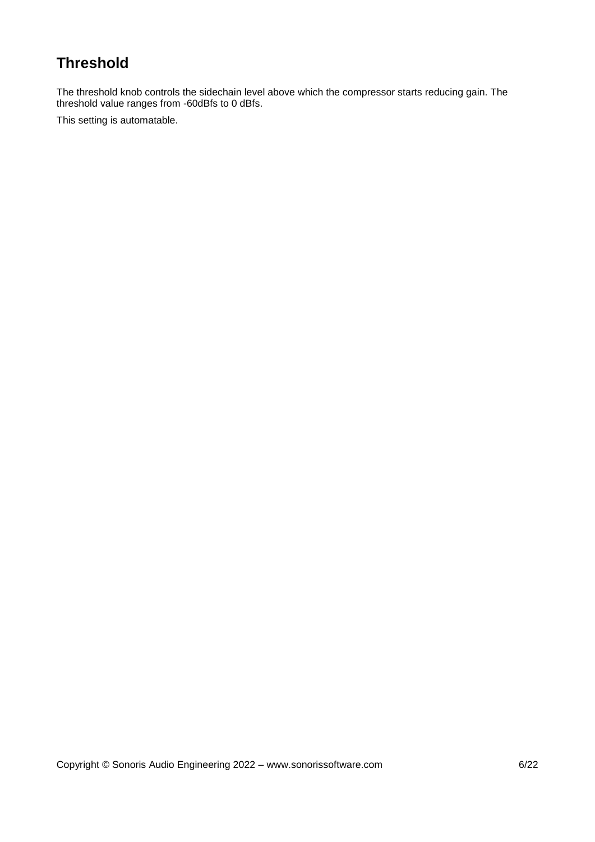### <span id="page-5-0"></span>**Threshold**

The threshold knob controls the sidechain level above which the compressor starts reducing gain. The threshold value ranges from -60dBfs to 0 dBfs.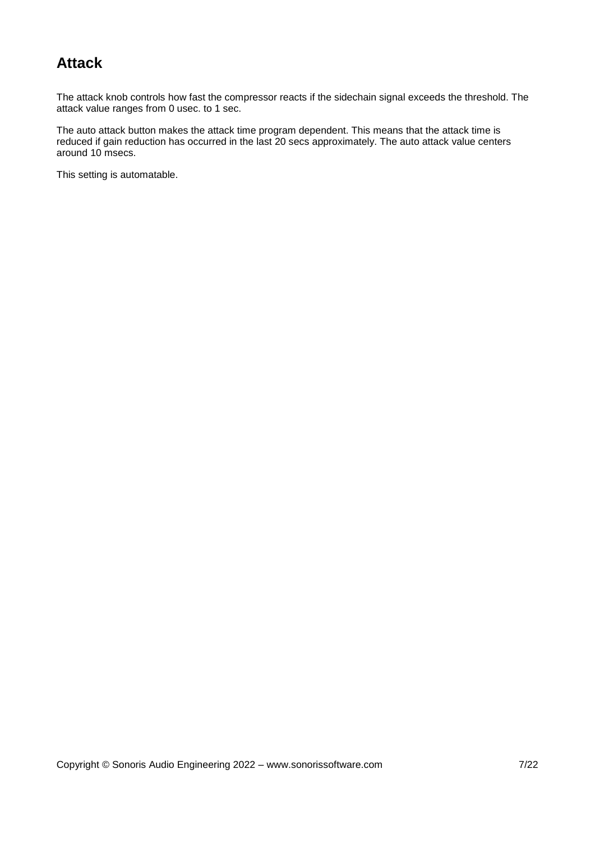#### <span id="page-6-0"></span>**Attack**

The attack knob controls how fast the compressor reacts if the sidechain signal exceeds the threshold. The attack value ranges from 0 usec. to 1 sec.

The auto attack button makes the attack time program dependent. This means that the attack time is reduced if gain reduction has occurred in the last 20 secs approximately. The auto attack value centers around 10 msecs.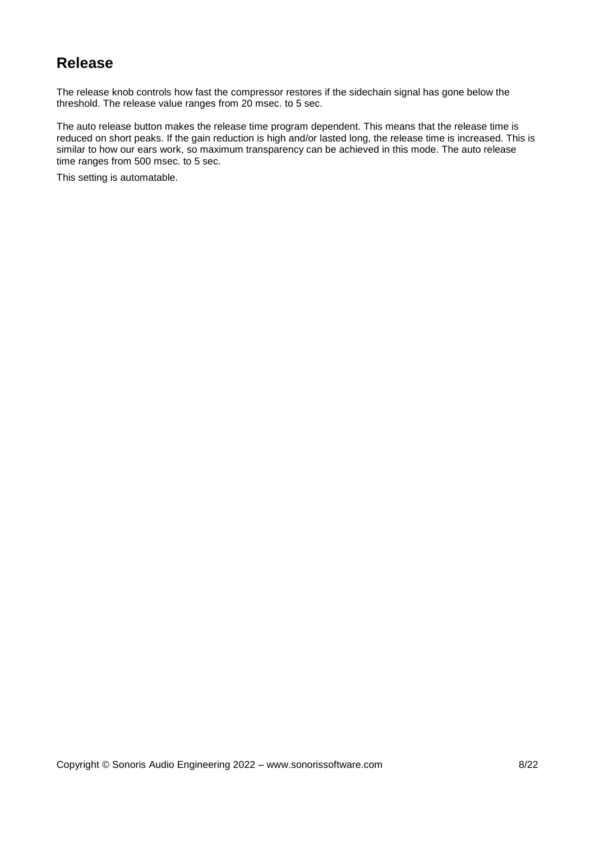#### <span id="page-7-0"></span>**Release**

The release knob controls how fast the compressor restores if the sidechain signal has gone below the threshold. The release value ranges from 20 msec. to 5 sec.

The auto release button makes the release time program dependent. This means that the release time is reduced on short peaks. If the gain reduction is high and/or lasted long, the release time is increased. This is similar to how our ears work, so maximum transparency can be achieved in this mode. The auto release time ranges from 500 msec. to 5 sec.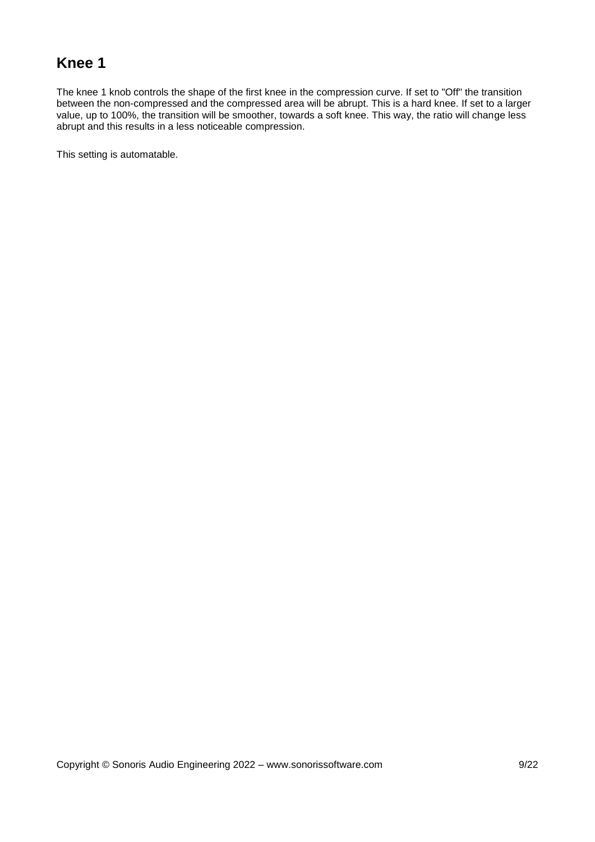#### <span id="page-8-0"></span>**Knee 1**

The knee 1 knob controls the shape of the first knee in the compression curve. If set to "Off" the transition between the non-compressed and the compressed area will be abrupt. This is a hard knee. If set to a larger value, up to 100%, the transition will be smoother, towards a soft knee. This way, the ratio will change less abrupt and this results in a less noticeable compression.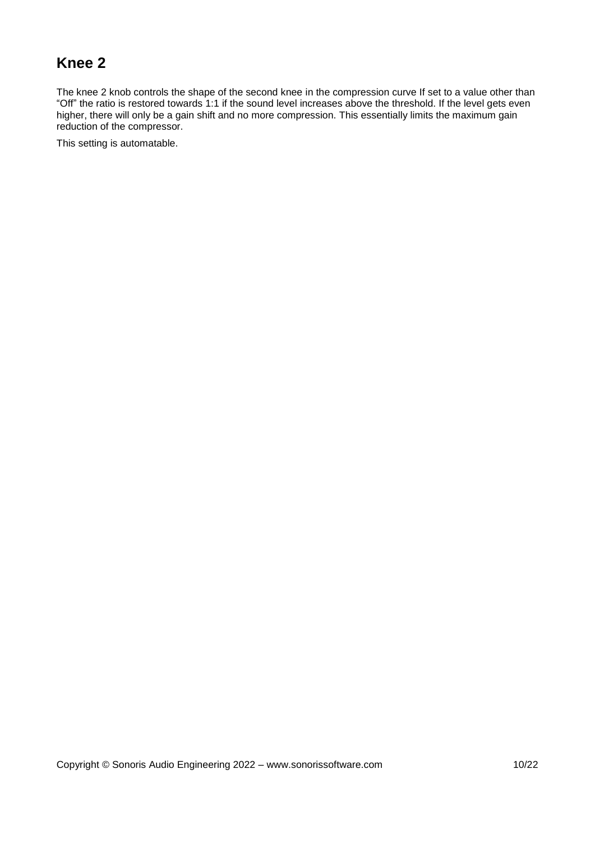#### <span id="page-9-0"></span>**Knee 2**

The knee 2 knob controls the shape of the second knee in the compression curve If set to a value other than "Off" the ratio is restored towards 1:1 if the sound level increases above the threshold. If the level gets even higher, there will only be a gain shift and no more compression. This essentially limits the maximum gain reduction of the compressor.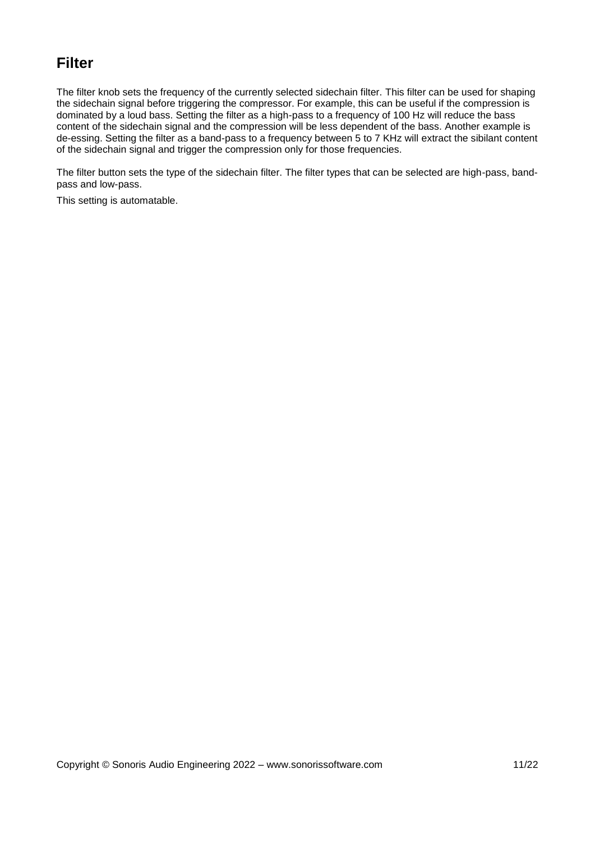#### <span id="page-10-0"></span>**Filter**

The filter knob sets the frequency of the currently selected sidechain filter. This filter can be used for shaping the sidechain signal before triggering the compressor. For example, this can be useful if the compression is dominated by a loud bass. Setting the filter as a high-pass to a frequency of 100 Hz will reduce the bass content of the sidechain signal and the compression will be less dependent of the bass. Another example is de-essing. Setting the filter as a band-pass to a frequency between 5 to 7 KHz will extract the sibilant content of the sidechain signal and trigger the compression only for those frequencies.

The filter button sets the type of the sidechain filter. The filter types that can be selected are high-pass, bandpass and low-pass.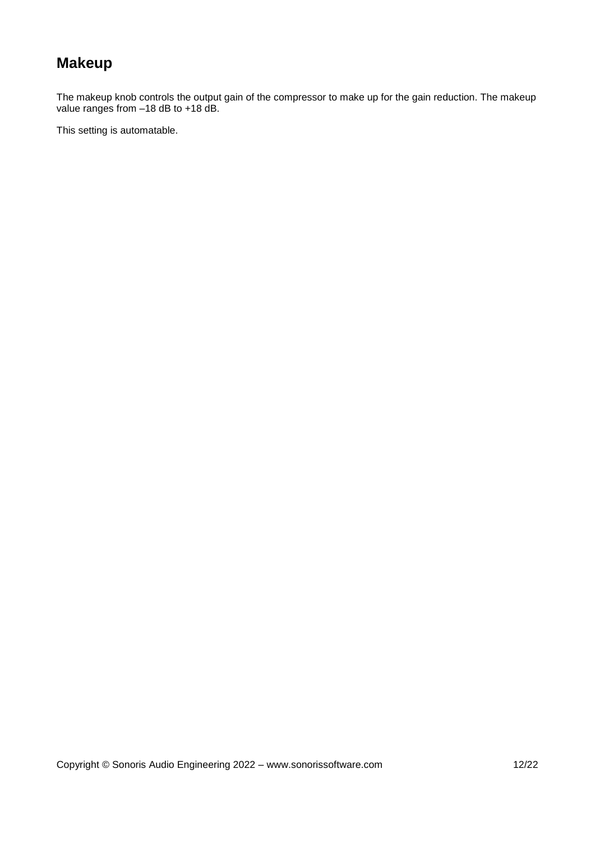## <span id="page-11-0"></span>**Makeup**

The makeup knob controls the output gain of the compressor to make up for the gain reduction. The makeup value ranges from –18 dB to +18 dB.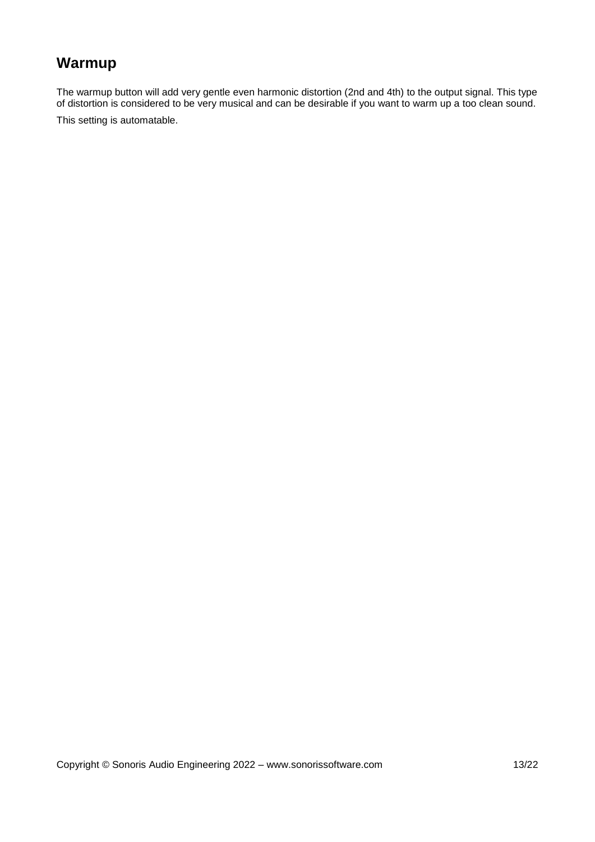## <span id="page-12-0"></span>**Warmup**

The warmup button will add very gentle even harmonic distortion (2nd and 4th) to the output signal. This type of distortion is considered to be very musical and can be desirable if you want to warm up a too clean sound. This setting is automatable.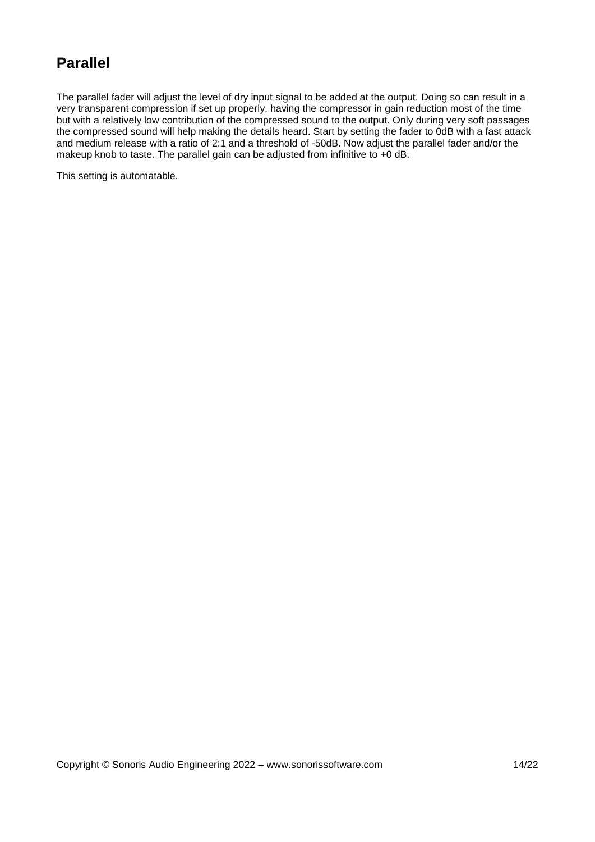#### <span id="page-13-0"></span>**Parallel**

The parallel fader will adjust the level of dry input signal to be added at the output. Doing so can result in a very transparent compression if set up properly, having the compressor in gain reduction most of the time but with a relatively low contribution of the compressed sound to the output. Only during very soft passages the compressed sound will help making the details heard. Start by setting the fader to 0dB with a fast attack and medium release with a ratio of 2:1 and a threshold of -50dB. Now adjust the parallel fader and/or the makeup knob to taste. The parallel gain can be adjusted from infinitive to +0 dB.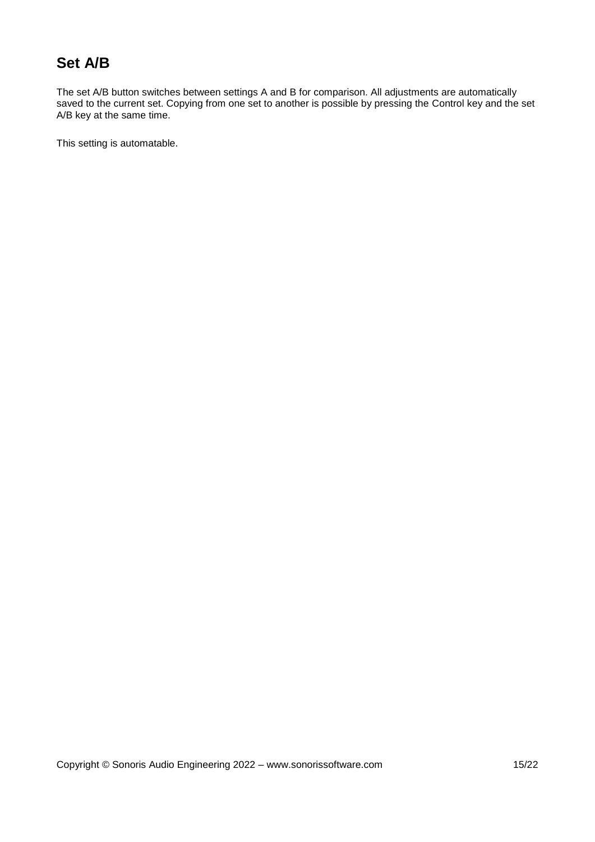#### <span id="page-14-0"></span>**Set A/B**

The set A/B button switches between settings A and B for comparison. All adjustments are automatically saved to the current set. Copying from one set to another is possible by pressing the Control key and the set A/B key at the same time.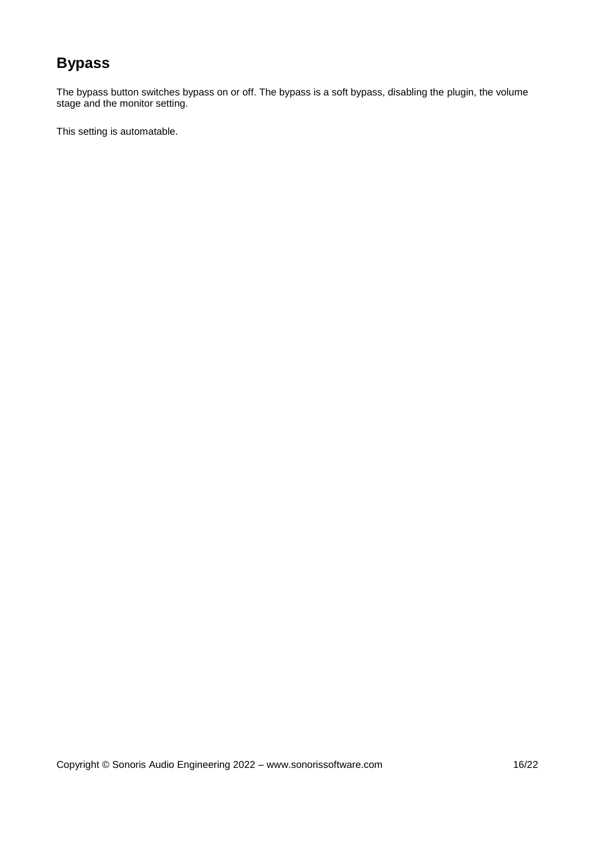## <span id="page-15-0"></span>**Bypass**

The bypass button switches bypass on or off. The bypass is a soft bypass, disabling the plugin, the volume stage and the monitor setting.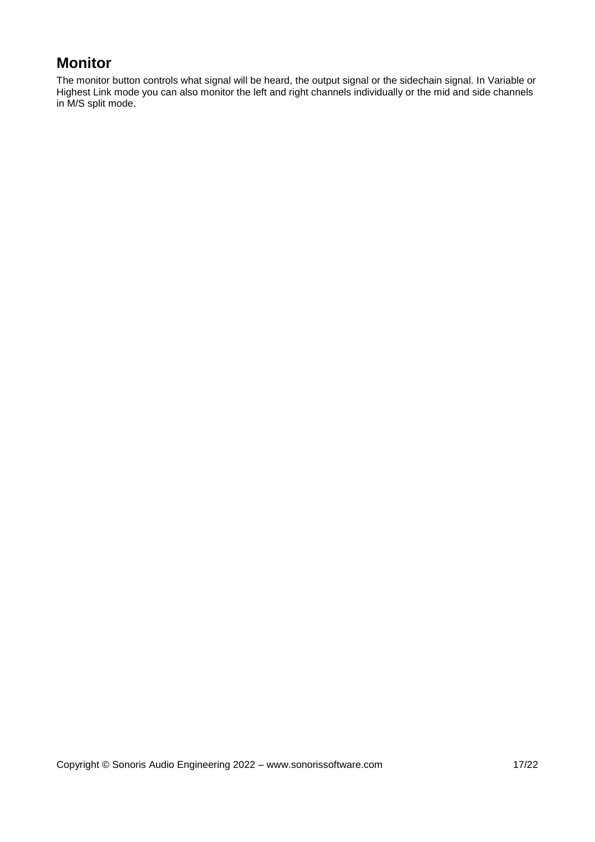### <span id="page-16-0"></span>**Monitor**

The monitor button controls what signal will be heard, the output signal or the sidechain signal. In Variable or Highest Link mode you can also monitor the left and right channels individually or the mid and side channels in M/S split mode.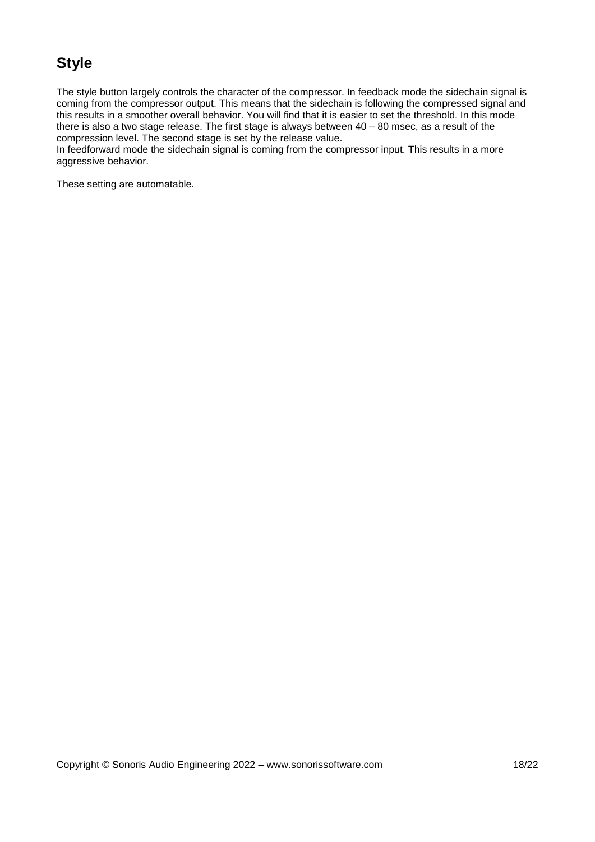#### <span id="page-17-0"></span>**Style**

The style button largely controls the character of the compressor. In feedback mode the sidechain signal is coming from the compressor output. This means that the sidechain is following the compressed signal and this results in a smoother overall behavior. You will find that it is easier to set the threshold. In this mode there is also a two stage release. The first stage is always between 40 – 80 msec, as a result of the compression level. The second stage is set by the release value.

In feedforward mode the sidechain signal is coming from the compressor input. This results in a more aggressive behavior.

These setting are automatable.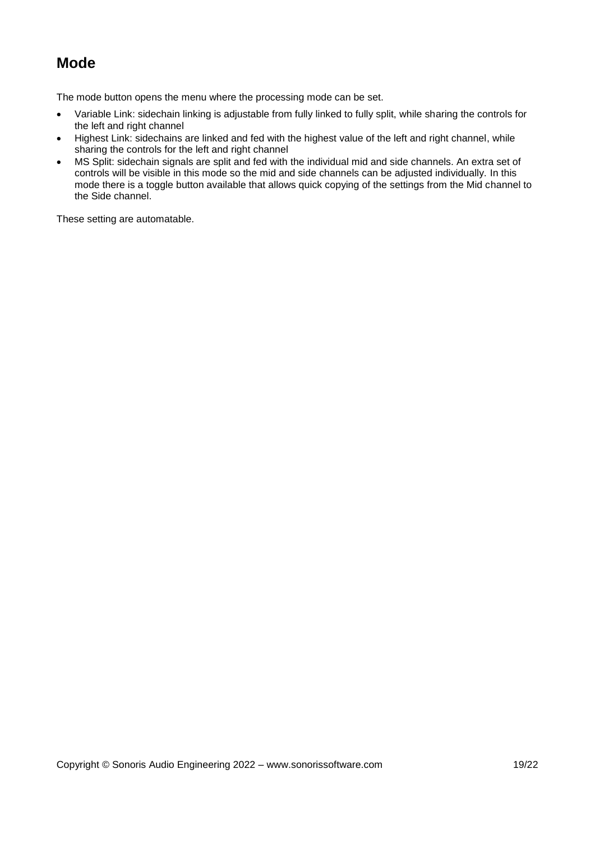#### <span id="page-18-0"></span>**Mode**

The mode button opens the menu where the processing mode can be set.

- Variable Link: sidechain linking is adjustable from fully linked to fully split, while sharing the controls for the left and right channel
- Highest Link: sidechains are linked and fed with the highest value of the left and right channel, while sharing the controls for the left and right channel
- MS Split: sidechain signals are split and fed with the individual mid and side channels. An extra set of controls will be visible in this mode so the mid and side channels can be adjusted individually. In this mode there is a toggle button available that allows quick copying of the settings from the Mid channel to the Side channel.

These setting are automatable.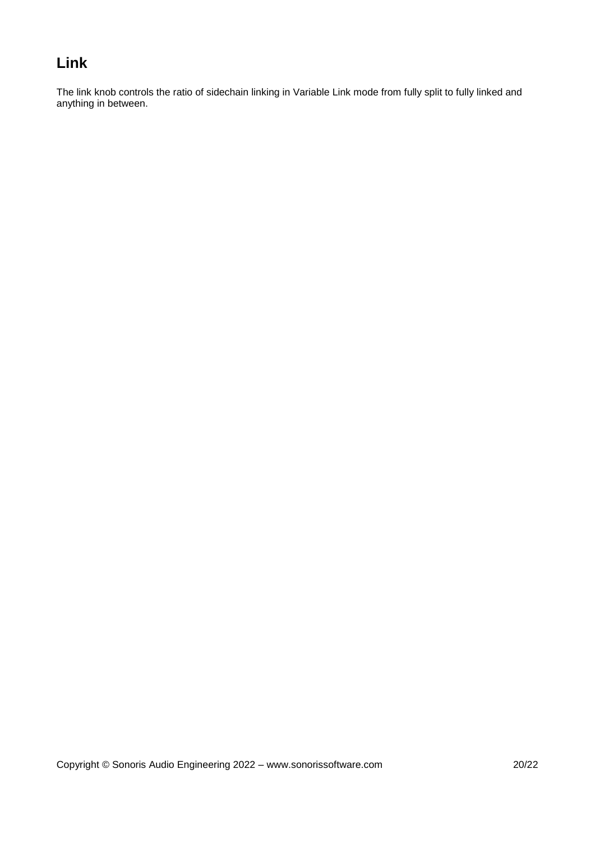#### <span id="page-19-0"></span>**Link**

The link knob controls the ratio of sidechain linking in Variable Link mode from fully split to fully linked and anything in between.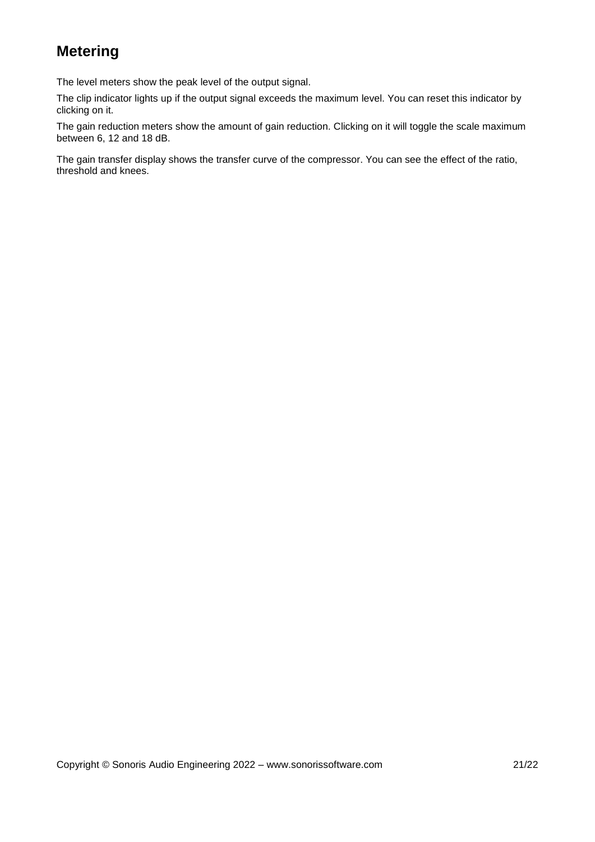### <span id="page-20-0"></span>**Metering**

The level meters show the peak level of the output signal.

The clip indicator lights up if the output signal exceeds the maximum level. You can reset this indicator by clicking on it.

The gain reduction meters show the amount of gain reduction. Clicking on it will toggle the scale maximum between 6, 12 and 18 dB.

The gain transfer display shows the transfer curve of the compressor. You can see the effect of the ratio, threshold and knees.